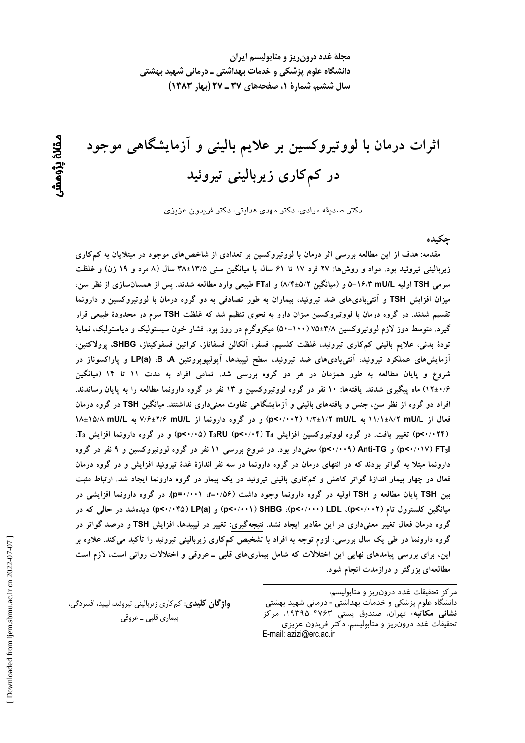مجلهٔ غدد درون ریز و متابولیسم ایران دانشگاه علوم پزشکی و خدمات بهداشتی ــ درمانی شهید بهشتی سال ششم، شمارة ١، صفحههای ٣٧ ـ ٢٧ (بهار ١٣٨٣)

اثرات درمان با لووتیروکسین بر علایم بالینی و آزمایشگاهی موجود در کمکاری زیربالینی تیروئید

دکتر صدیقه مرادی، دکتر مهدی هدایتی، دکتر فریدون عزیزی

### جكىدە

مقدمه: هدف از این مطالعه بررسی اثر درمان با لووتیروکسین بر تعدادی از شاخصهای موجود در مبتلایان به کمکاری زیربالینی تیروئید بود. مواد و روشها: ۲۷ فرد ۱۷ تا ۶۱ ساله با میانگین سنی ۱۳/۵±۳۸ سال (۸ مرد و ۱۹ زن) و غلظت سرمی TSH اولیه N/۳ mU/L-۵ و (میانگین ۸/۴±۵/۲) و FT<sub>4</sub> طبیعی وارد مطالعه شدند. پس از همسان سازی از نظر سن، میزان افزایش TSH و آنتی بادیهای ضد تیروئید، بیماران به طور تصادفی به دو گروه درمان با لووتیروکسین و دارونما تقسیم شدند. در گروه درمان با لووتیروکسین میزان دارو به نحوی تنظیم شد که غلظت TSH سرم در محدودهٔ طبیعی قرار گیرد. متوسط دوز لازم لووتیروکسین ۳/۸±۷۵ (۱۰۰−۵۰) میکروگرم در روز بود. فشار خون سیستولیک و دیاستولیک، نمایهٔ تودهٔ بدنی، علایم بالینی کمکاری تیروئید، غلظت کلسیم، فسفر، آلکالن فسفاتاز، کراتین فسفوکیناز، SHBG، پرولاکتین، آزمایشهای عملکرد تیروئید، آنتیبادیهای ضد تیروئید، سطح لیپیدها، آپولیپوپروتئین B ،A ، (LP(a و پاراکسوناز در شروع و پایان مطالعه به طور همزمان در هر دو گروه بررسی شد. تمامی افراد به مدت ۱۱ تا ۱۴ (میانگین ۰/۶+۱) ماه پیگیری شدند. یافتهها: ۱۰ نفر در گروه لووتیروکسین و ۱۳ نفر در گروه دارونما مطالعه را به پایان رساندند. افراد دو گروه از نظر سن، جنس و یافتههای بالینی و آزمایشگاهی تفاوت معنیداری نداشتند. میانگین TSH در گروه درمان فعال از ۱۱/۱±۸/۲ mU/L به ۱/۳±۱/۲ mU/L (p<۰/۰۰۲) و در گروه دارونما از ۷/۶±۲/۶ mU/L به ۱۸±۱۵/۸ mU/L به (p<۰/۰۲۴) تغییر یافت. در گروه لووتیروکسین افزایش T4 (p<۰/۰۴) T3RU (p<۰/۰۴) و در گروه دارونما افزایش T3. p<۰/۰۱۷) FT3l) و p<۰/۰۰۹) Anti-TG) معنیدار بود. در شروع بررسی ۱۱ نفر در گروه لووتیروکسین و ۹ نفر در گروه دارونما مبتلا به گواتر بودند که در انتهای درمان در گروه دارونما در سه نفر اندازهٔ غدهٔ تیروئید افزایش و در گروه درمان فعال در چهار بیمار اندازهٔ گواتر کاهش و کمکاری بالینی تیروئید در یک بیمار در گروه دارونما ایجاد شد. ارتباط مثبت بین TSH پایان مطالعه و TSH اولیه در گروه دارونما وجود داشت (۰/۵۶×=r)، p=۰/۰۰۱). در گروه دارونما افزایشی در میانگین کلسترول تام (p<۰/۰۰۰) LDL (p<۰/۰۰۲)، pHBG)، pC۰/۰۰۱) SHBG) و (p<۰/۰۴۵) دیدهشد در حالی که در گروه درمان فعال تغییر معنیداری در این مقادیر ایجاد نشد. نتیجهگیری: تغییر در لیپیدها، افزایش TSH و درصد گواتر در گروه دارونما در طی یک سال بررسی، لزوم توجه به افراد با تشخیص کمکاری زیربالینی تیروئید را تأکید میکند. علاوه بر این، برای بررسی پیامدهای نهایی این اختلالات که شامل بیماریهای قلبی ــ عروقی و اختلالات روانی است، لازم است مطالعهای بزرگتر و درازمدت انجام شود.

**واژگان کلیدی**: کمکاری زیربالینی تیروئید، لیپید، افسردگی، بیماری قلبی ــ عروقی

مركز تحقيقات غدد درون ريز و متابوليسم، دانشگاه علوم پزشکی و خدمات بهداشتی - درمانی شهید بهشتی<br>**نشانی مکاتبه**؛ تهران، صندوق پستی ۴۷۶۳–۱۹۳۹، مرکز تحقیقات غدد درون ریز و متابولیسم، دکتر فریدون عزیزی E-mail: azizi@erc.ac.ir

ىقانۇ يۆمش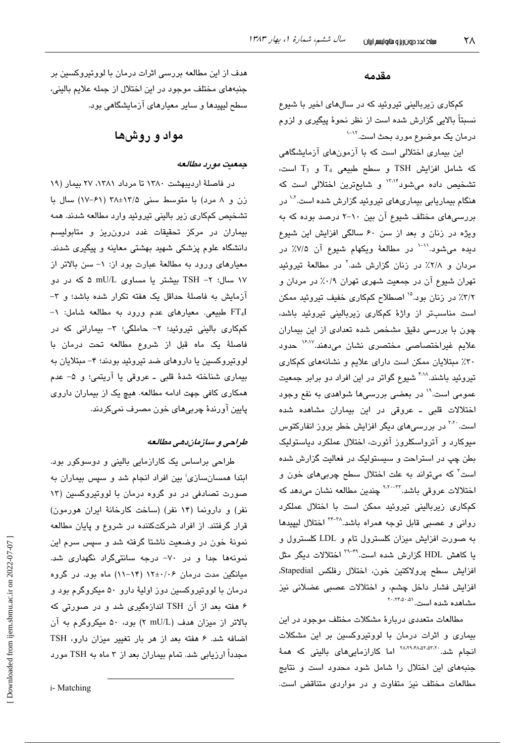## مقدمه

کمکاری زیربالینی تیروئید که در سالهای اخیر با شیوع نسبتاً بالایی گزارش شده است از نظر نحوهٔ پیگیری و لزوم درمان یک موضوع مورد بحث است.<sup>۱-۱۲</sup>

این بیماری اختلالی است که با آزمونهای آزمایشگاهی  $T_3$  حَه شامل افزایش TSH و سطح طبیعی  $T_4$  و  $T_3$  است، تشخیص داده میشود<sup>۱۳،۱۴</sup> و شایعترین اختلالی است که هنگام بیماریابی بیماریهای تیروئید گزارش شده است."` در بررسیهای مختلف شیوع آن بین ۱۰-۲ درصد بوده که به ویژه در زنان و بعد از سن ۶۰ سالگی افزایش این شیوع ديده مي شود.''<sup>-'</sup> در مطالعهٔ ويكهام شيوع آن ۷/۵٪ در مردان و ۲/۸٪ در زنان گزارش شد.<sup>۲</sup> در مطالعهٔ تیروئید تهران شیوع آن در جمعیت شهری تهران ۰/۹٪ در مردان و ٣/٢٪ در زنان بود.<sup>١٥</sup> اصطلاح كمكاري خفيف تيروئيد ممكن است مناسبتر از واژهٔ کمکاری زیربالینی تیروئید باشد، چون با بررسی دقیق مشخص شده تعدادی از این بیماران علایم غیراختصاصی مختصری نشان میدهند.<sup>۱۶٬۱۷</sup> حدود ۳۰٪ مبتلایان ممکن است دارای علایم و نشانههای کمکاری تیروئید باشند.<sup>۴۰۱۸</sup> شیوع گواتر در این افراد دو برابر جمعیت عمومی است.<sup>۱۹</sup> در بعضی بررسیها شواهدی به نفع وجود اختلالات قلبی ـ عروقی در این بیماران مشاهده شده است<sup>۲۰۲</sup> در بررسیهای دیگر افزایش خطر بروز انفارکتوس میوکارد و آترواسکلروز آئورت، اختلال عملکرد دیاستولیک بطن چپ در استراحت و سیستولیک در فعالیت گزارش شده است<sup>۳</sup> که میتواند به علت اختلال سطح چربیهای خون و اختلالات عروقی باشد.<sup>۲۳--۹</sup>۰۲ چندین مطالعه نشان میدهد که کمکاری زیربالینی تیروئید ممکن است با اختلال عملکرد روانی و عصبی قابل توجه همراه باشد. <sup>۲۴-۳۸</sup> اختلال لیپیدها به صورت افزایش میزان کلسترول تام و LDL کلسترول و یا کاهش HDL گزارش شده است. <sup>۲۹-۲۹</sup> اختلالات دیگر مثل افزايش سطح پرولاكتين خون، اختلال رفلكس Stapedial، افزایش فشار داخل چشم، و اختلالات عصبی عضلانی نیز 

مطالعات متعددی دربارهٔ مشکلات مختلف موجود در این بیماری و اثرات درمان با لووتیروکسین بر این مشکلات انجام شد. <sup>۲۸،۲۹،۴۸،۵۲،۵۲</sup>۰ اما کارازمامیهای بالبنی که همهٔ جنبههای این اختلال را شامل شود محدود است و نتایج مطالعات مختلف نیز متفاوت و در مواردی متناقض است.

هدف از این مطالعه بررسی اثرات درمان با لووتیروکسین بر جنبههای مختلف موجود در این اختلال از جمله علایم بالینی، سطح لبیبدها و سایر معبارهای آزمایشگاهی بود.

مواد و روشها

#### جمعيت مورد مطالعه

در فاصلهٔ اردیبهشت ۱۳۸۰ تا مرداد ۱۳۸۱، ۲۷ بیمار (۱۹ زن و ٨ مرد) با متوسط سنى ١٣/٥±٣٨ (٤١٧-١٧) سال با تشخیص کمکاری زیر بالینی تیروئید وارد مطالعه شدند. همه بیماران در مرکز تحقیقات غدد درون٫ریز و متابولیسم دانشگاه علوم پزشکی شهید بهشتی معاینه و پیگیری شدند. معیارهای ورود به مطالعهٔ عبارت بود از: ١- سن بالاتر از ۱۷ سال؛ ۲- TSH بیشتر یا مساوی mU/L ۵ که در دو آزمایش به فاصلهٔ حداقل یک هفته تکرار شده باشد؛ و ۳-FT4I طبیعی. معیارهای عدم ورود به مطالعه شامل: ۱-کمکاری بالینی تیروئید؛ ۲- حاملگی؛ ۳- بیمارانی که در فاصلهٔ یک ماه قبل از شروع مطالعه تحت درمان با لووتیروکسین یا داروهای ضد تیروئید بودند؛ ۴– مبتلایان به بيماري شناخته شدهٔ قلبي ـ عروقي يا آريتمي؛ و ۵- عدم همکاری کافی جهت ادامه مطالعه. هیچ یک از بیماران داروی پایین آورندهٔ چربیهای خون مصرف نمیکردند.

## طراحي و سازمان دهي مطالعه

طراحی براساس یک کارازمایی بالینی و دوسوکور بود. ابتدا همسان سازی<sup>:</sup> بین افراد انجام شد و سپس بیماران به صورت تصادفی در دو گروه درمان با لووتیروکسین (۱۳ نفر) و دارونما (١۴ نفر) (ساخت كارخانهٔ ايران هورمون) قرار گرفتند. از افراد شرکتکننده در شروع و پایان مطالعه نمونهٔ خون در وضعیت ناشتا گرفته شد و سپس سرم این نمونهها جدا و در ۷۰- درجه سانتیگراد نگهداری شد. میانگین مدت درمان ۱۲±۱۲ (۱۴-۱۱) ماه بود. در گروه درمان با لووتيروکسين دوز اوليهٔ دارو ۵۰ ميکروگرم بود و ۶ هفته بعد از آن TSH اندازهگیری شد و در صورتی که بالاتر از میزان هدف (mU/L ۲) بود، ۵۰ میکروگرم به آن اضافه شد. ۶ هفته بعد از هر بار تغییر میزان دارو، TSH مجدداً ارزیابی شد. تمام بیماران بعد از ۳ ماه به TSH مورد

i- Matching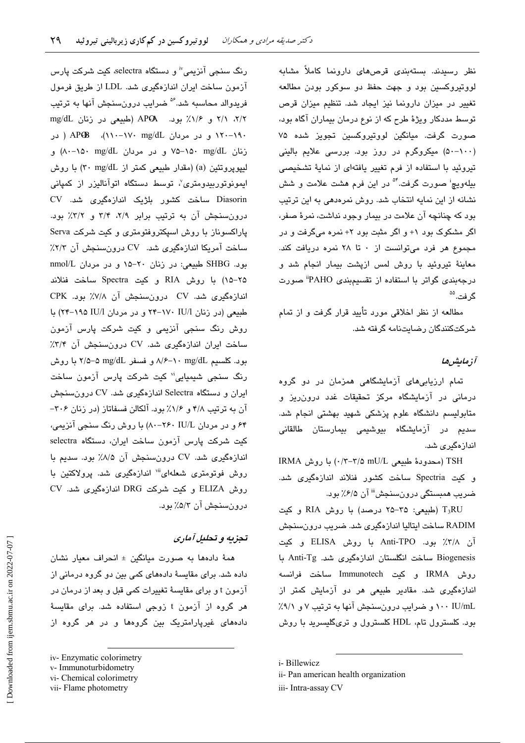نظر رسیدند. بستهبندی قرصهای دارونما کاملاً مشابه لووتيروکسين بود و جهت حفظ دو سوکور بودن مطالعه تغییر در میزان دارونما نیز ایجاد شد. تنظیم میزان قرص توسط مددکار ویژهٔ طرح که از نوع درمان بیماران آگاه بود، صورت گرفت. میانگین لووتیروکسین تجویز شده ۷۵ (۱۰۰–۵۰) میکروگرم در روز بود. بررسی علایم بالینی تیروئید با استفاده از فرم تغییر یافتهای از نمایهٔ تشخیصی بیلهویچ<sup>:</sup> صورت گرفت.<sup>۵۴</sup> در این فرم هشت علامت و شش نشانه از این نمایه انتخاب شد. روش نمرهدهی به این ترتیب بود که چنانچه آن علامت در بیمار وجود نداشت، نمرهٔ صفر، اگر مشکوک بود ۱+ و اگر مثبت بود ۲+ نمره میگرفت و در مجموع هر فرد میتوانست از ۰ تا ۲۸ نمره دریافت کند. معاینهٔ تیروئید با روش لمس ازپشت بیمار انجام شد و درجهبندی گواتر با استفاده از تقسیمبندی PAHO" صورت گ فت. <sup>۵۵</sup>

مطالعه از نظر اخلاقی مورد تأیید قرار گرفت و از تمام شرکتکنندگان رضایتنامه گرفته شد.

## آزمايشرها

تمام ارزیابی های آزمایشگاهی همزمان در دو گروه درمانی در آزمایشگاه مرکز تحقیقات غدد درون٫ریز و متابولیسم دانشگاه علوم یزشکی شهید بهشتی انجام شد. سدیم در آزمایشگاه بیوشیمی بیمارستان طالقانی اندازەگىرى شد.

TSH (محدودهٔ طبیعی mU/L (۰/۳-۳/۵ mU/L ) با روش IRMA و کیت Spectria ساخت کشور فنلاند اندازهگیری شد. ضريب همبستگي درونِسنجش<sup>iii</sup> آن ۶/۵٪ بود.

T3RU (طبیعی: ۳۵-۲۵ درصد) با روش RIA و کیت RADIM ساخت ايتاليا اندازهگيري شد. ضريب درونسنجش آن ٣/٨٪ بود. Anti-TPO با روش ELISA و كيت Biogenesis ساخت انگلستان اندازهگیری شد. Anti-Tg با روش IRMA و كيت Immunotech ساخت فرانسه اندازهگیری شد. مقادیر طبیعی هر دو آزمایش کمتر از ۱۰۰ IU/mL و ضرایب درونسنجش آنها به ترتیب ۷ و ۹/۱٪ بود. کلسترول تام، HDL کلسترول و تریگلیسرید با روش

i-Billewicz

iii- Intra-assay CV

رنگ سنجي آنزيمي" و دستگاه selectra، کيت شرکت پارس آزمون ساخت ایران اندازهگیری شد. LDL از طریق فرمول فریدوالد محاسبه شد.<sup>۵۶</sup> ضرایب درونسنجش آنها به ترتیب ۲/۲، ۲/۱ و ۱/۶٪ بود. APGA (طبیعی در زنان mg/dL ۰/۹۰–۱۲۰ و در مردان APB (۱۱۰–۱۷۰ mg/dL)، AP زنان ng/dL -۱۵۰ mg/dL و در مردان ng/dL) و ليپوپروتئين (a) (مقدار طبيعي كمتر از mg/dL) با روش ایمونوتوربیدومتری<sup>7</sup>، توسط دستگاه اتوآنالیزر از کمپانی Diasorin ساخت کشور بلژیک اندازهگیری شد. CV درونسنجش آن به ترتیب برابر ۲/۹، ۳/۴ و ۳/۲٪ بود. پاراکسوناز با روش اسپکتروفتومتری و کیت شرکت Serva ساخت آمریکا اندازهگیری شد. CV درونسنجش آن ۲/۳٪ بود. SHBG طبیعی: در زنان ٢٠-١۵ و در مردان nmol/L ۲۵–۱۵) با روش RIA و کیت Spectra ساخت فنلاند اندازهگیری شد. CV درونسنجش آن ۷/۸٪ بود. CPK طبیعی (در زنان ۱۷/۱ -۱۷+۲۴ و در مردان IU/l ۱۹۵-۲۴) با روش رنگ سنجی آنزیمی و کیت شرکت پارس آزمون ساخت ایران اندازهگیری شد. CV درونسنجش آن ۳/۴٪ بود. کلسیم A/۶-۱۰ mg/dL و فسفر mg/dL ۵-۵ /۲ با روش رنگ سنجی شیمیایی<sup>ن</sup> کیت شرکت پارس آزمون ساخت ایران و دستگاه Selectra اندازهگیری شد. CV درونسنجش آن به ترتیب ۴/۸ و ۱/۶٪ بود. آلکالن فسفاتاز (در زنان ۳۰۶– ۶۴ و در مردان IU/L ۲۶۰-۸۰) با روش رنگ سنجی آنزیمی، كيت شركت پارس آزمون ساخت ايران، دستگاه selectra اندازهگیری شد. CV درونسنجش آن ۸/۵٪ بود. سدیم با روش فوتومتری شعلهای<sup>ivi</sup> اندازهگیری شد. پرولاکتین با روش ELIZA و كتت شركت DRG اندازهگيري شد. CV درونسنجش آن ۵/۳٪ بود.

# تجزيه و تحليل آماري

همهٔ دادهها به صورت میانگین ± انحراف معیار نشان داده شد. برای مقایسهٔ دادههای کمی بین دو گروه درمانی از آزمون t و برای مقایسهٔ تغییرات کمی قبل و بعد از درمان در هر گروه از آزمون t زوجی استفاده شد. برای مقایسهٔ دادههای غیرپارامتریک بین گروهها و در هر گروه از

ii- Pan american health organization

iv-Enzymatic colorimetry

v- Immunoturbidometry

vi- Chemical colorimetry vii- Flame photometry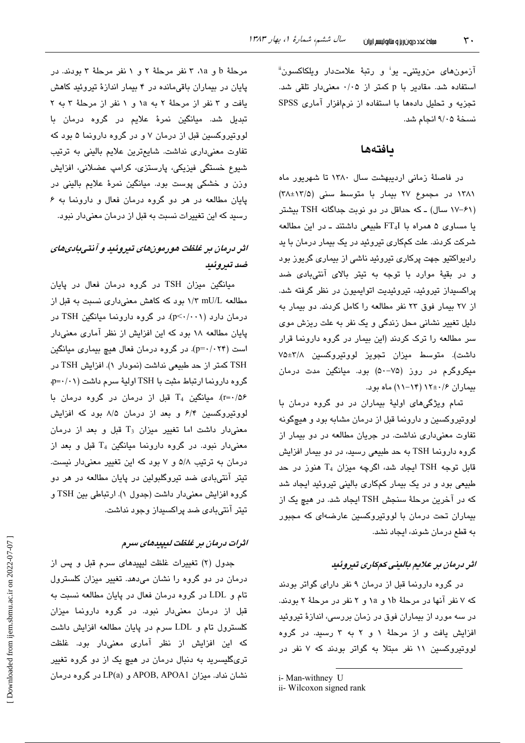آزمونها*ی* منویتنی۔ یو<sup>ا</sup> و رتبهٔ علامتدار ویلکاکسون<sup>ة</sup> استفاده شد. مقادیر با p کمتر از ۰/۰۵ معنیدار تلقی شد. تجزیه و تحلیل دادهها با استفاده از نرمافزار آماری SPSS نسخة ٩/٠٥ انجام شد.

# بافتهها

در فاصلهٔ زمانی اردیبهشت سال ۱۳۸۰ تا شهریور ماه ۱۳۸۱ در مجموع ۲۷ بیمار با متوسط سنی (۱۳/۵±۲۸) (۶۱–۱۷ سال) ـ که حداقل در دو نوبت جداگانه TSH بیشتر یا مساوی ۵ همراه با FT4I طبیعی داشتند ـ در این مطالعه شرکت کردند. علت کمکاری تیروئید در یک بیمار درمان با ید رادیواکتیو جهت پرکاری تیروئید ناشی از بیماری گریوز بود و در بقیهٔ موارد با توجه به تیتر بالای آنتیبادی ضد پراکسیداز تیروئید، تیروئیدیت اتواپمیون در نظر گرفته شد. از ٢٧ بیمار فوق ٢٣ نفر مطالعه را كامل كردند. دو بیمار به دلیل تغییر نشانی محل زندگی و یک نفر به علت ریزش موی سر مطالعه را ترک کردند (این بیمار در گروه دارونما قرار داشت). متوسط میزان تجویز لووتیروکسین ۷۵±۲٪ میکروگرم در روز (۷۵–۵۰) بود. میانگین مدت درمان بیماران ۱۲±۱۲ (۱۴-۱۱) ماه بود.

تمام ویژگی های اولیهٔ بیماران در دو گروه درمان با لووتیروکسین و دارونما قبل از درمان مشابه بود و هیچگونه تفاوت معنى دارى نداشت. در جريان مطالعه در دو بيمار از گروه دارونما TSH به حد طبیعی رسید، در دو بیمار افزایش قابل توجه TSH ایجاد شد، اگرچه میزان T<sub>4</sub> هنوز در حد طبیعی بود و در یک بیمار کمکاری بالینی تیروئید ایجاد شد که در آخرین مرحلهٔ سنجش TSH ایجاد شد. در هیچ یک از بیماران تحت درمان با لووتیروکسین عارضهای که مجبور به قطع درمان شوند، ایجاد نشد.

## اثر درمان بر علایم بالینی کمکاری تیروئید

در گروه دارونما قبل از درمان ۹ نفر دارای گواتر بودند که ۷ نفر آنها در مرحلهٔ ۱b و ۱۵ و ۲ نفر در مرحلهٔ ۲ بودند. در سه مورد از بیماران فوق در زمان بررسی، اندازهٔ تیروئید افزایش یافت و از مرحلهٔ ۱ و ۲ به ۳ رسید. در گروه لووتیروکسین ۱۱ نفر مبتلا به گواتر بودند که ۷ نفر در

مرحلهٔ b و ۰۱۵ تا نفر مرحلهٔ ۲ و ۱ نفر مرحلهٔ ۳ بودند. در پایان در بیماران باقی مانده در ۴ بیمار اندازهٔ تیروئید کاهش یافت و ۳ نفر از مرحلهٔ ۲ به ۱۵ و ۱ نفر از مرحلهٔ ۳ به ۲ تبدیل شد. میانگین نمرهٔ علایم در گروه درمان با لووتیروکسین قبل از درمان ۷ و در گروه دارونما ۵ بود که تفاوت معنىدارى نداشت. شايعترين علايم باليني به ترتيب شیوع خستگی فیزیکی، پارستزی، کرامپ عضلانی، افزایش وزن و خشکی پوست بود. میانگین نمرهٔ علایم بالینی در پایان مطالعه در هر دو گروه درمان فعال و دارونما به ۶ رسید که این تغییرات نسبت به قبل از درمان معنیدار نبود.

# اثر درمان در غلظت هورمونهای تدروئید و آنتےبادیهای ضد تيروئيد

میانگین میزان TSH در گروه درمان فعال در پایان مطالعه ١/٣ mU/L بود كه كاهش معنى دارى نسبت به قبل از درمان دارد (p<۰/۰۰۱). در گروه دارونما میانگین TSH در پایان مطالعه ۱۸ بود که این افزایش از نظر آماری معنیدار است (p=۰/۰۲۴). در گروه درمان فعال هیچ بیماری میانگین TSH كمتر از حد طبيعي نداشت (نمودار ١). افزايش TSH در گروه دارونما ارتباط مثبت با TSH اولیهٔ سرم داشت (۰٫۱-p=۰/۰۱ r=۰/۵۶). میانگین T<sub>4</sub> قبل از درمان در گروه درمان با لووتیروکسین ۶/۴ و بعد از درمان ۸/۵ بود که افزایش معنى دار داشت اما تغيير ميزان T3 قبل و بعد از درمان معنی دار نبود. در گروه دارونما میانگین  $\rm T_4$  قبل و بعد از درمان به ترتیب ۵/۸ و ۷ بود که این تغییر معنیدار نیست. تیتر آنتیبادی ضد تیروگلبولین در پایان مطالعه در هر دو گروه افزایش معنیدار داشت (جدول ۱). ارتباطی بین TSH و تیتر آنتیبادی ضد پراکسیداز وجود نداشت.

# اثرات درمان بر غلظت لیپیدهای سرم

جدول (٢) تغییرات غلظت لیپیدهای سرم قبل و پس از درمان در دو گروه را نشان میدهد. تغییر میزان کلسترول تام و LDL در گروه درمان فعال در پایان مطالعه نسبت به قبل از درمان معنى دار نبود. در گروه دارونما ميزان كلسترول تام و LDL سرم در پايان مطالعه افزايش داشت که این افزایش از نظر آماری معنیدار بود. غلظت تریگلیسرید به دنبال درمان در هیچ یک از دو گروه تغییر نشان نداد. میزان APOB, APOA1 و LP(a) در گروه درمان

i- Man-withney U

ii- Wilcoxon signed rank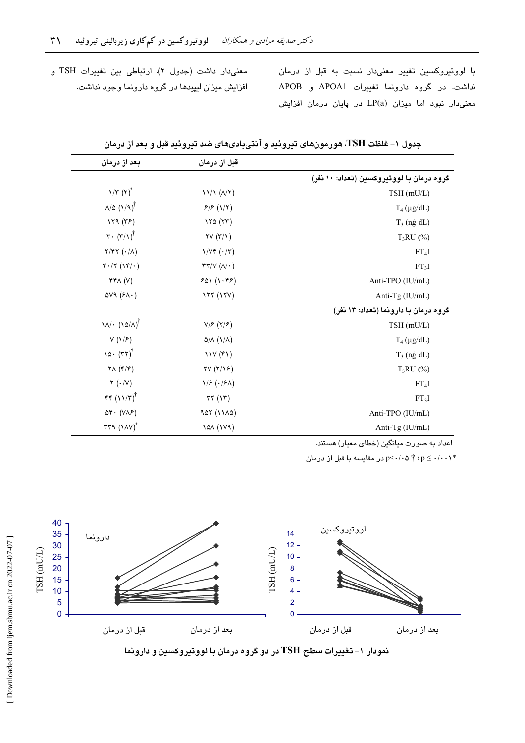با لووتیروکسین تغییر معنیدار نسبت به قبل از درمان نداشت. در گروه دارونما تغییرات APOA1 و APOB معنی دار نبود اما میزان (LP(a در پایان درمان افزایش

معنى دار داشت (جدول ٢). ارتباطى بين تغييرات TSH و افزایش میزان لیپیدها در گروه دارونما وجود نداشت.

| جدول ۱– غلظت TSH، هورمونهای تیروئید و آنتیبادیهای ضد تیروئید قبل و بعد از درمان |
|---------------------------------------------------------------------------------|
|---------------------------------------------------------------------------------|

| بعد از درمان                                                             | قبل از درمان                                        |                                           |
|--------------------------------------------------------------------------|-----------------------------------------------------|-------------------------------------------|
|                                                                          |                                                     | گروه درمان با لووتیروکسین (تعداد: ۱۰ نفر) |
| $\frac{1}{\tau}$                                                         | 11/1 (A/T)                                          | TSH (mU/L)                                |
| $\Lambda/\Omega(\Lambda)^{\dagger}$                                      | F/F(N)                                              | $T_4$ (µg/dL)                             |
| 179 (75)                                                                 | 170(57)                                             | $T_3$ (ng dL)                             |
| $\mathbf{r} \cdot (\mathbf{r}/\mathbf{v})^{\dagger}$                     | $\tau v(\tau/\nu)$                                  | $T3RU$ (%)                                |
| $Y/YY (\cdot/\Lambda)$                                                   | $\sqrt{v^*(\cdot/\tau)}$                            | $\rm FT_4I$                               |
| $\mathfrak{r}\cdot\mathfrak{/}\mathfrak{r}\ (\mathfrak{r}/\mathfrak{r})$ | $\tau\tau/\nu$ ( $\wedge/\cdot$ )                   | FT <sub>3</sub> I                         |
| $YY \wedge (V)$                                                          | 801 (1.98)                                          | Anti-TPO (IU/mL)                          |
| $\Delta V$ ۹ (۶ $\Lambda$ ·)                                             | 177 (17V)                                           | Anti-Tg (IU/mL)                           |
|                                                                          |                                                     | گروه درمان با دارونما (تعداد: ۱۳ نفر)     |
| $N/\cdot (10/\Lambda)^{\dagger}$                                         | V/F (Y/F)                                           | TSH (mU/L)                                |
| V(N/F)                                                                   | $\Delta/\Lambda$ $(\lambda/\Lambda)$                | $T_4$ (µg/dL)                             |
| $10 \cdot (YY)^{\dagger}$                                                | 11V(f1)                                             | $T_3$ (ng dL)                             |
| $\forall \Lambda (\mathfrak{r}/\mathfrak{r})$                            | $\forall V(\forall/\lambda \in)$                    | $T_3RU(%)$                                |
| $\mathbf{Y}(\cdot/\mathbf{V})$                                           | $1/F ( \cdot   F \Lambda)$                          | FT <sub>4</sub> I                         |
| $rr(N/T)^T$                                                              | $\tau\tau$ $(\tau\tau)$                             | FT <sub>3</sub> I                         |
| $\Delta f \cdot (V \Lambda F)$                                           | 101(1110)                                           | Anti-TPO (IU/mL)                          |
| $TT9 (1AV)^*$                                                            | $\lambda$ $\Delta\lambda$ $(\lambda\lambda\lambda)$ | Anti-Tg (IU/mL)                           |

اعداد به صورت میانگین (خطای معیار) هستند.

در مقایسه با قبل از درمان p<-/-۵  $p$  در مقایسه با قبل از درمان



نمودار ۱- تغییرات سطح TSH در دو گروه درمان با لووتیروکسین و دارونما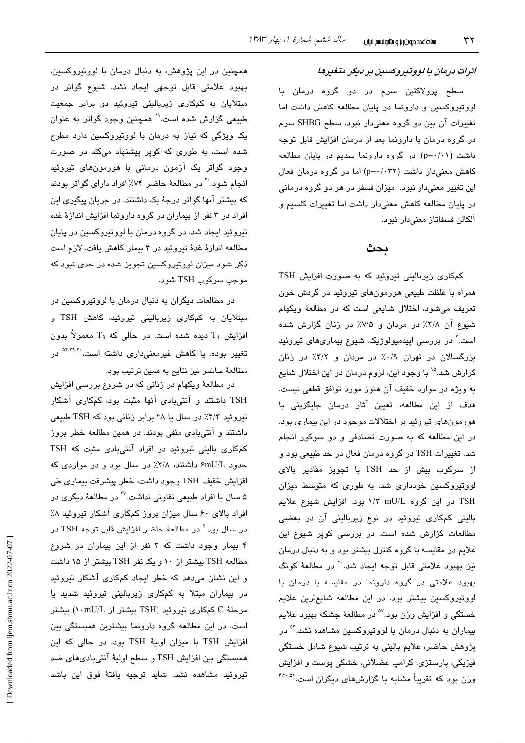## اثرات درمان با لووتيروكسين بر ديگر متغيرها

سطح پرولاکتین سرم در دو گروه درمان با لووتیروکسین و دارونما در پایان مطالعه کاهش داشت اما تغییرات آن بین دو گروه معنیدار نبود. سطح SHBG سرم در گروه درمان با دارونما بعد از درمان افزایش قابل توجه داشت (p=۰/۰۱). در گروه دارونما سدیم در پایان مطالعه کاهش معنی دار داشت (p=۰/۰۳۲) اما در گروه درمان فعال این تغییر معنیدار نبود. میزان فسفر در هر دو گروه درمانی در پایان مطالعه کاهش معنیدار داشت اما تغییرات کلسیم و آلكالن فسفاتان معنى دار نبود.

# ىحث

کمکاری زیربالینی تیروئید که به صورت افزایش TSH همراه با غلظت طبیعی هورمونهای تیروئید در گردش خون تعریف میشود، اختلال شایعی است که در مطالعهٔ ویکهام شیوع آن ۲/۸٪ در مردان و ۷/۵٪ در زنان گزارش شده است.<sup>۲</sup> در بررسی اپیدمیولوژیک، شیوع بیماریهای تیروئی*د* بزرگسالان در تهران ۰/۹٪ در مردان و ۳/۲٪ در زنان گزارش شد.<sup>۱۵</sup> با وجود این، لزوم درمان در این اختلال شایع به ویژه در موارد خفیف آن هنوز مورد توافق قطعی نیست. هدف از این مطالعه، تعیین آثار درمان جایگزینی با هورمونهای تیروئید بر اختلالات موجود در این بیماری بود. در این مطالعه که به صورت تصادفی و دو سوکور انجام شد، تغییرات TSH در گروه درمان فعال در حد طبیعی بود و از سرکوب بیش از حد TSH با تجویز مقادیر بالای لووتیروکسین خودداری شد. به طوری که متوسط میزان .<br>TSH در این گروه MU/L ۱/۳ mU/L بود. افزایش شیوع علایم بالینی کمکاری تیروئید در نوع زیربالینی آن در بعضی مطالعات گزارش شده است. در بررسی کویر شیوع این علایم در مقایسه با گروه کنترل بیشتر بود و به دنبال درمان نيز بهبود علامتي قابل توجه ايجاد شد<sup>.۲</sup>۰ در مطالعهٔ کونگ بهبود علامتی در گروه دارونما در مقایسه با درمان با لووتیروکسین بیشتر بود. در این مطالعه شایعترین علایم خستگی و افزایش وزن بود.<sup>۵۷</sup> در مطالعهٔ جشکه بهبود علایم بیماران به دنبال درمان با لووتیروکسین مشاهده نشد.<sup>۵۳</sup> در پژوهش حاضر، علايم باليني به ترتيب شيوع شامل خستگي فیزیکی، پارستزی، کرامپ عضلانی، خشکی پوست و افزایش وزن بود که تقریباً مشابه با گزارشهای دیگران است.<sup>۴،۲۰۵۲</sup>

همچنین در این پژوهش، به دنبال درمان با لووتیروکسین، بهبود علامتی قابل توجهی ایجاد نشد. شیوع گواتر در مبتلایان به کمکار*ی* زیربالینی تیروئید دو برابر جمعیت طبیعی گزارش شده است.<sup>۱۹</sup> همچنین وجود گواتر به عنوان یک ویژگی که نیاز به درمان با لووتیروکسین دارد مطرح شده است، به طوری که کوپر پیشنهاد میکند در صورت وجود گواتر یک آزمون درمانی با هورمونهای تیروئید انجام شود. <sup>۲۰</sup> در مطالعهٔ حاضر ۷۴٪ افراد دارای گواتر بودند که بیشتر آنها گواتر درجهٔ یک داشتند. در جریان پیگیری این افراد در ۳ نفر از بیماران در گروه دارونما افزایش اندازهٔ غده تیروئید ایجاد شد. در گروه درمان با لووتیروکسین در پایان مطالعه اندازهٔ غدهٔ تیروئید در ۴ بیمار کاهش یافت. لازم است ذکر شود میزان لووتیروکسین تجویز شده در حدی نبود که موجب سرکوب TSH شود.

در مطالعات دیگران به دنبال درمان با لووتیروکسین در مبتلایان به کمکاری زیربالینی تیروئید، کاهش TSH و افزایش  $T_4$  دیده شده است. در حالی که  $T_3$  معمولاً بدون <mark>تغیی</mark>ر بوده، یا کاهش غیرمعنیداری داشته است،<sup>۵۲،۲۹،۲</sup> در مطالعهٔ حاضر نیز نتایج به همین ترتیب بود.

در مطالعهٔ ویکهام در زنانی که در شروع بررسی افزایش TSH داشتند و آنتی بادی آنها مثبت بود، کمکاری آشکار تیروئید ۳/۳٪ در سال یا ۳۸ برابر زنانی بود که TSH طبیعی داشتند و آنتیبادی منفی بودند. در همین مطالعه خطر بروز کمکاری بالینی تیروئید در افراد آنتیبادی مثبت که TSH حدود ۶mU/L داشتند، ۲/۸٪ در سال بود و در مواردی که افزايش خفيف TSH وجود داشت، خطر پيشرفت بيماري طي ۵ سال با افراد طبیعی تفاوتی نداشت.<sup>۲۷</sup> در مطالعهٔ دیگر*ی* در افراد بالای ۶۰ سال میزان بروز کمکاری آشکار تیروئید ۸٪ در سال بود.<sup>۵</sup> در مطالعهٔ حاضر افزایش قابل توجه TSH در ۴ بیمار وجود داشت که ۳ نفر از این بیماران در شروع مطالعه TSH بیشتر از ۱۰ و یک نفر TSH بیشتر از ۱۵ داشت و این نشان میدهد که خطر ایجاد کمکاری آشکار تیروئید در بیماران مبتلا به کمکاری زیربالینی تیروئید شدید یا مرحلهٔ C کمکاری تیروئید (TSH بیشتر از ۱۰mU/L) بیشتر است. در این مطالعه گروه دارونما بیشترین همبستگی بین افزایش TSH با میزان اولیهٔ TSH بود. در حالی که این همبستگی بین افزایش TSH و سطح اولیهٔ آنتیبادیهای ضد تیروئید مشاهده نشد. شاید توجیه یافتهٔ فوق این باشد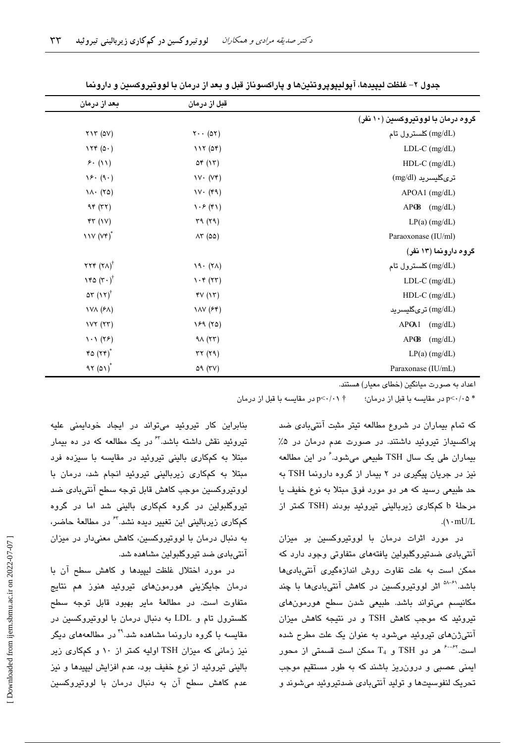| بعد از درمان                                                     | قبل از درمان                                      |                                    |
|------------------------------------------------------------------|---------------------------------------------------|------------------------------------|
|                                                                  |                                                   | گروه درمان با لووتیروکسین (۱۰ نفر) |
| $Y \setminus Y$ ( $\Delta V$ )                                   | $Y \cdot \cdot (2Y)$                              | (mg/dL) کلسترول تام                |
| $\lambda Y^* (\delta \cdot)$                                     | 117(29)                                           | $LDL-C$ (mg/dL)                    |
| $F\cdot (11)$                                                    | $\Delta f$ $(Y)$                                  | HDL-C (mg/dL)                      |
| $Y$ $(9)$                                                        | $V \cdot (V^*)$                                   | ترىگليسريد (mg/dl)                 |
| $\lambda \wedge (\Upsilon \Delta)$                               | $V \cdot (49)$                                    | APOA1 (mg/dL)                      |
| 94 (77)                                                          | $\lambda \cdot \mathcal{F}(\mathfrak{k} \lambda)$ | $APGB$ (mg/dL)                     |
| rr(N)                                                            | $\tau$ 9 ( $\tau$ 9)                              | $LP(a)$ (mg/dL)                    |
| $\binom{1}{x}$                                                   | $\Lambda \Upsilon$ (00)                           | Paraoxonase (IU/ml)                |
|                                                                  |                                                   | گروه دارونما (۱۳ نفر)              |
| $\mathsf{Y}\mathsf{Y}\mathsf{Y}$ $(\mathsf{Y}\Lambda)^{\dagger}$ | 19. (7)                                           | (mg/dL) كلسترول تام                |
| $\lambda$ $\uparrow$ $\circ$ $(\uparrow \cdot)^\dagger$          | $\lambda \cdot f(\tau)$                           | $LDL-C$ (mg/dL)                    |
| $\Delta \Upsilon \left( \Upsilon \Upsilon \right)^\dagger$       | YV(Y)                                             | HDL-C (mg/dL)                      |
| <b>IVA (FA)</b>                                                  | <b>IAV</b> (۶۴)                                   | (mg/dL) ترىگليسريد                 |
| VY(5)                                                            | 159(70)                                           | APOA1 (mg/dL)                      |
| 1.1 (75)                                                         | $9\Lambda (77)$                                   | $AP@B$ (mg/dL)                     |
| $40 (74)^*$                                                      | $\tau\tau$ ( $\tau\gamma$ )                       | $LP(a)$ (mg/dL)                    |
| $97 (01)^*$                                                      | 09 (TV)                                           | Paraxonase (IU/mL)                 |

جدول ۲– غلظت ليپيدها، آپوليپوپروتئينها و پاراكسوناز قبل و بعد از درمان با لووتيروكسين و دارونما

اعداد به صورت مبانگین (خطای معبار) هستند.

p<٠/٠١ † در مقایسه با قبل از درمان \* p<٠/٠۵ در مقايسه با قبل از درمان؛

> که تمام بیماران در شروع مطالعه تیتر مثبت آنتیبادی ضد پراکسیداز تیروئید داشتند. در صورت عدم درمان در ۵٪ بیماران طی یک سال TSH طبیعی میشود. ٔ در این مطالعه نیز در جریان پیگیری در ۲ بیمار از گروه دارونما TSH به حد طبیعی رسید که هر دو مورد فوق مبتلا به نوع خفیف یا مرحلهٔ b کمکاری زیربالینی تیروئید بودند (TSH کمتر از  $\cdot$ ( $\cdot$ mU/L

> در مورد اثرات درمان با لووتیروکسین بر میزان آنتیبادی ضدتیروگلبولین یافتههای متفاوتی وجود دارد که ممکن است به علت تفاوت روش اندازهگیری آنتیبادیها باشد.<sup>۶۱–۵۸</sup> اثر لووتیروکسین در کاهش آنتیبادیها با چند مکانیسم میتواند باشد. طبیعی شدن سطح هورمونهای تیروئید که موجب کاهش TSH و در نتیجه کاهش میزان آنتیژنهای تیروئید میشود به عنوان یک علت مطرح شده است.''<sup>۶-.ء</sup>ُ هر دو TSH و  $\mathrm{T}_4$  ممکن است قسمتی از محور ایمنی عصبی و درون ریز باشند که به طور مستقیم موجب تحريک لنفوسيتها و توليد آنتيبادي ضدتيروئيد مي شوند و

بنابراین کار تیروئید میتواند در ایجاد خودایمنی علیه تیروئید نقش داشته باشد.<sup>۴</sup> در یک مطالعه که در ده بیمار مبتلا به کمکاری بالینی تیروئید در مقایسه با سیزده فرد مبتلا به کمکاری زیربالینی تیروئید انجام شد، درمان با لووتیروکسین موجب کاهش قابل توجه سطح آنتیبادی ضد تیروگلبولین در گروه کمکاری بالینی شد اما در گروه کمکاری زیربالینی این تغییر دیده نشد.<sup>۶۲</sup> در مطالعهٔ حاضر، به دنبال درمان با لووتیروکسین، کاهش معنیدار در میزان آنتیبادی ضد تیروگلبولین مشاهده شد.

در مورد اختلال غلظت ليپيدها و كاهش سطح آن با درمان جايگزينی هورمونهای تيروئيد هنوز هم نتايج متفاوت است. در مطالعهٔ مایر بهبود قابل توجه سطح کلسترول تام و LDL به دنبال درمان با لووتیروکسین در مقایسه با گروه دارونما مشاهده شد.<sup>۲۹</sup> در مطالعههای دیگر نیز زمانی که میزان TSH اولیه کمتر از ۱۰ و کمکاری زیر باليني تيروئيد از نوع خفيف بود، عدم افزايش ليپيدها و نيز عدم کاهش سطح آن به دنبال درمان با لووتیروکسین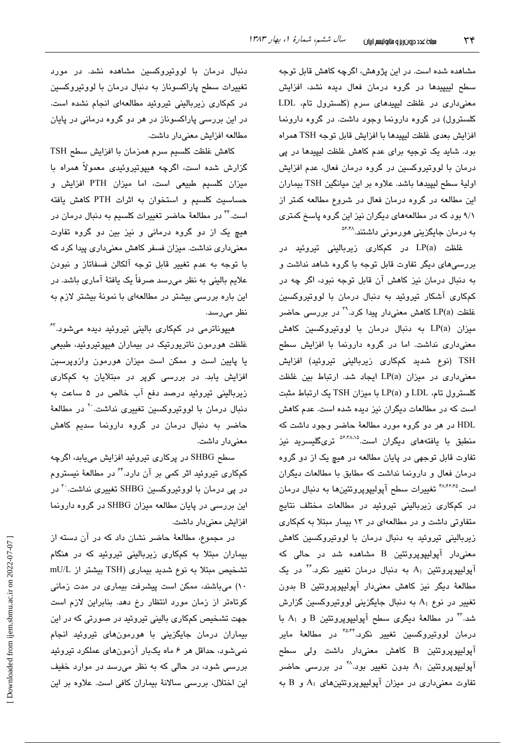مشاهده شده است. در این پژوهش، اگرچه کاهش قابل توجه سطح لیپپیدها در گروه درمان فعال دیده نشد، افزایش معنیداری در غلظت لیپیدهای سرم (کلسترول تام، LDL کلسترول) در گروه دارونما وجود داشت. در گروه دارونما افزايش بعدى غلظت ليپيدها با افزايش قابل توجه TSH همراه بود. شاید یک توجیه برای عدم کاهش غلظت لیپیدها در پی درمان با لووتیروکسین در گروه درمان فعال، عدم افزایش اولية سطح ليپيدها باشد. علاوه بر اين ميانگين TSH بيماران این مطالعه در گروه درمان فعال در شروع مطالعه کمتر از ۹/۱ بود که در مطالعههای دیگران نیز این گروه پاسخ کمتری به درمان جایگزینی هورمونی داشتند.<sup>۵۶،۴۸</sup>

غلظت (LP(a در کمکاری زیربالینی تیروئید در بررسیهای دیگر تفاوت قابل توجه با گروه شاهد نداشت و به دنبال درمان نيز كاهش آن قابل توجه نبود، اگر چه در کمکاری آشکار تیروئید به دنبال درمان با لووتیروکسین غلظت (LP(a کاهش معنیدار پیدا کرد.<sup>۲۹</sup> در بررس*ی* حاضر میزان (LP(a به دنبال درمان با لووتیروکسین کاهش معنی داری نداشت. اما در گروه دارونما با افزایش سطح TSH (نوع شدید کمکاری زیربالینی تیروئید) افزایش معنی داری در میزان (LP(a ایجاد شد. ارتباط بین غلظت کلسترول تام، LDL و LP(a) با میزان TSH یک ارتباط مثبت است که در مطالعات دیگران نیز دیده شده است. عدم کاهش HDL در هر دو گروه مورد مطالعهٔ حاضر وجود داشت که منطبق با یافتههای دیگران است.<sup>۵۶،۳۸،۱۵</sup> تریگلیسرید نیز تفاوت قابل توجهی در پایان مطالعه در هیچ یک از دو گروه درمان فعال و دارونما نداشت كه مطابق با مطالعات ديگران است. <sup>۴۸٬۴۶٬۴۵</sup> تغییرات سطح آپولیپوپروتئینها به دنبال درمان در کمکاری زیربالینی تیروئید در مطالعات مختلف نتایج متفاوتی داشت و در مطالعهای در ۱۳ بیمار مبتلا به کمکاری زیربالینی تیروئید به دنبال درمان با لووتیروکسین کاهش معنیدار آپولیپوپروتئین B مشاهده شد در حالی که آپولیپوپروتئین  $\rm A_1$  به دنبال درمان تغییر نکرد. ۴ در یک مطالعهٔ دیگر نیز کاهش معنیدار آپولیپوپروتئین B بدون تغییر در نوع A1 به دنبال جایگزینی لووتیروکسین گزارش شد. په در مطالعهٔ دیگری سطح آپولیپوپروتئین B و  $\rm A_{1}$  با $\rm A$ درمان لووتیروکسین تغییر نکرد.<sup>۴۵،۴۴</sup> در مطالعهٔ مایر آپولیپوپروتئین B کاهش معنیدار داشت ولی سطح آپولیپوپروتئین  $\rm A_{1}$  بدون تغییر بود. $^{*}$  در بررسی حاضر تفاوت معنیداری در میزان آپولیپوپروتئینهای  $A_1$  و  $B$  به

دنبال درمان با لووتیروکسین مشاهده نشد. در مورد تغییرات سطح پاراکسوناز به دنبال درمان با لووتیروکسین در کمکاری زیربالینی تیروئید مطالعهای انجام نشده است. در این بررسی پاراکسوناز در هر دو گروه درمانی در پایان مطالعه افزایش معنیدار داشت.

كاهش غلظت كلسيم سرم همزمان با افزايش سطح TSH گزارش شده است، اگرچه هیپوتیروئیدی معمولاً همراه با میزان کلسیم طبیعی است، اما میزان PTH افزایش و حساسیت کلسیم و استخوان به اثرات PTH کاهش یافته است.<sup>۴۴</sup> در مطالعهٔ حاضر تغییرات کلسیم به دنبال درمان در هیچ یک از دو گروه درمانی و نیز بین دو گروه تفاوت معنیداری نداشت. میزان فسفر کاهش معنیداری پیدا کرد که با توجه به عدم تغییر قابل توجه آلکالن فسفاتاز و نبودن علایم بالینی به نظر میرسد صرفاً یک یافتهٔ آماری باشد. در این باره بررسی بیشتر در مطالعهای با نمونهٔ بیشتر لازم به نظر مے رسد.

هیپوناترمی در کمکاری بالینی تیروئید دیده میشود.<sup>۳</sup> غلظت هورمون ناتریورتیک در بیماران هیپوتیروئید، طبیعی یا پایین است و ممکن است میزان هورمون وازوپرسین افزایش یابد. در بررسی کوپر در مبتلایان به کمکاری زیربالینی تیروئید درصد دفع آب خالص در ۵ ساعت به دنبال درمان با لووتیروکسین تغییری نداشت.<sup>۲</sup>۰ در مطالعهٔ حاضر به دنبال درمان در گروه دارونما سدیم کاهش معنى دار داشت.

سطح SHBG در پرکاری تیروئید افزایش میبابد، اگرچه کمکاری تیروئید اثر کمی بر آن دارد.<sup>۶۴</sup> در مطالعهٔ نیستروم در پی درمان با لووتیروکسین SHBG تغییری نداشت.<sup>۳۰</sup> در این بررسی در پایان مطالعه میزان SHBG در گروه دارونما افزایش معنی،دار داشت.

در مجموع، مطالعهٔ حاضر نشان داد که در آن دسته از بیماران مبتلا به کمکاری زیربالینی تیروئید که در هنگام تشخیص مبتلا به نوع شدید بیماری (TSH بیشتر از mU/L ١٠) مىباشند، ممكن است پيشرفت بيمارى در مدت زمانى کوتاهتر از زمان مورد انتظار رخ دهد. بنابراین لازم است جهت تشخیص کمکاری بالینی تیروئید در صورتی که در این بیماران درمان جایگزینی با هورمونهای تیروئید انجام نمیشود، حداقل هر ۶ ماه یکبار آزمونهای عملکرد تیروئید بررسی شود، در حالی که به نظر میرسد در موارد خفیف این اختلال، بررسی سالانهٔ بیماران کافی است. علاوه بر این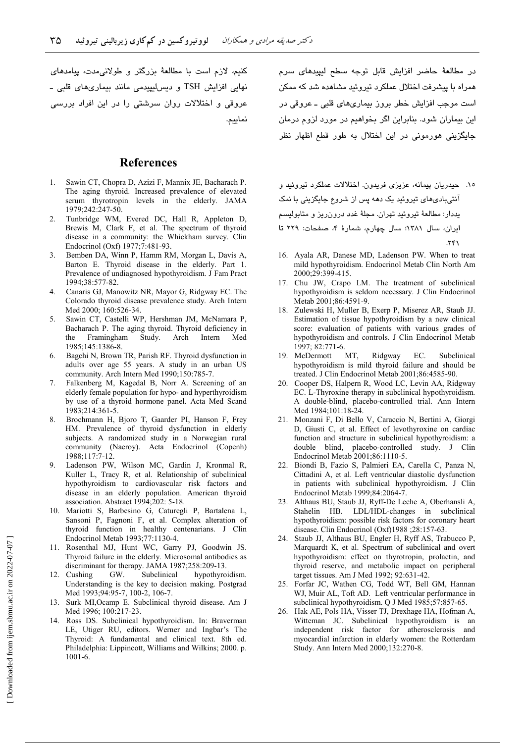كنيم، لازم است با مطالعهٔ بزرگتر و طولانى مدت، پيامدهاى نھایی افزایش TSH و دیس لیپیدمی مانند بیماریھای قلبی ۔ عروقی و اختلالات روان سرشتی را در این افراد بررسی نماييم.

## **References**

- 1. Sawin CT, Chopra D, Azizi F, Mannix JE, Bacharach P. The aging thyroid. Increased prevalence of elevated serum thyrotropin levels in the elderly. JAMA 1979;242:247-50.
- Tunbridge WM, Evered DC, Hall R, Appleton D,  $2.$ Brewis M, Clark F, et al. The spectrum of thyroid disease in a community: the Whickham survey. Clin Endocrinol (Oxf) 1977;7:481-93.
- Bemben DA, Winn P, Hamm RM, Morgan L, Davis A,  $3<sub>1</sub>$ Barton E. Thyroid disease in the elderly. Part 1. Prevalence of undiagnosed hypothyroidism. J Fam Pract 1994;38:577-82.
- Canaris GJ, Manowitz NR, Mayor G, Ridgway EC. The  $4<sup>1</sup>$ Colorado thyroid disease prevalence study. Arch Intern Med 2000: 160:526-34.
- Sawin CT, Castelli WP, Hershman JM, McNamara P,  $5<sub>1</sub>$ Bacharach P. The aging thyroid. Thyroid deficiency in Arch the Framingham Study. Intern Med 1985;145:1386-8.
- Bagchi N, Brown TR, Parish RF. Thyroid dysfunction in 6. adults over age 55 years. A study in an urban US community. Arch Intern Med 1990;150:785-7.
- Falkenberg M, Kagedal B, Norr A. Screening of an elderly female population for hypo- and hyperthyroidism by use of a thyroid hormone panel. Acta Med Scand 1983;214:361-5.
- 8. Brochmann H, Bjoro T, Gaarder PI, Hanson F, Frev HM. Prevalence of thyroid dysfunction in elderly subjects. A randomized study in a Norwegian rural community (Naeroy). Acta Endocrinol (Copenh) 1988:117:7-12.
- 9 Ladenson PW, Wilson MC, Gardin J, Kronmal R, Kuller L, Tracy R, et al. Relationship of subclinical hypothyroidism to cardiovascular risk factors and disease in an elderly population. American thyroid association. Abstract 1994;202: 5-18.
- 10. Mariotti S, Barbesino G, Caturegli P, Bartalena L, Sansoni P, Fagnoni F, et al. Complex alteration of thyroid function in healthy centenarians. J Clin Endocrinol Metab 1993;77:1130-4.
- 11. Rosenthal MJ, Hunt WC, Garry PJ, Goodwin JS, Thyroid failure in the elderly. Microsomal antibodies as discriminant for therapy. JAMA 1987;258:209-13.
- 12. Cushing GW. Subclinical hypothyroidism. Understanding is the key to decision making. Postgrad Med 1993;94:95-7, 100-2, 106-7.
- 13. Surk MI, Ocamp E. Subclinical thyroid disease. Am J Med 1996; 100:217-23.
- 14. Ross DS. Subclinical hypothyroidism. In: Braverman LE, Utiger RU, editors. Werner and Ingbar's The Thyroid: A fundamental and clinical text. 8th ed. Philadelphia: Lippincott, Williams and Wilkins; 2000. p.  $1001 - 6$

در مطالعهٔ حاضر افزایش قابل توجه سطح لیپیدهای سرم همراه يا پيشر فت اختلال عملکر د تيروئيد مشاهده شد که ممکن است موجب افزایش خطر بروز بیماریهای قلبی ــ عروقی در این بیماران شود. بنابراین اگر بخواهیم در مورد لزوم درمان جایگزینی هورمونی در این اختلال به طور قطع اظهار نظر

- ١٥. حيدريان پيمانه، عزيزي فريدون. اختلالات عملكرد تيروئيد و آنتی بادی های تیروئید یک دهه پس از شروع جایگزینی با نمک يددار: مطالعهٔ تيروئيد تهران. مجلهٔ غدد درونريز و متابوليسم ایران، سال ۱۳۸۱؛ سال چهارم، شمارهٔ ۴، صفحات: ۲۲۹ تا .۲۴۱
- 16. Ayala AR, Danese MD, Ladenson PW. When to treat mild hypothyroidism. Endocrinol Metab Clin North Am 2000:29:399-415.
- 17. Chu JW, Crapo LM. The treatment of subclinical hypothyroidism is seldom necessary. J Clin Endocrinol Metab 2001;86:4591-9.
- 18. Zulewski H, Muller B, Exerp P, Miserez AR, Staub JJ. Estimation of tissue hypothyroidism by a new clinical score: evaluation of patients with various grades of hypothyroidism and controls. J Clin Endocrinol Metab 1997; 82:771-6.
- 19. McDermott MT, Ridgway EC. Subclinical hypothyroidism is mild thyroid failure and should be treated. J Clin Endocrinol Metab 2001;86:4585-90.
- 20. Cooper DS, Halpern R, Wood LC, Levin AA, Ridgway EC. L-Thyroxine therapy in subclinical hypothyroidism. A double-blind, placebo-controlled trial. Ann Intern Med 1984;101:18-24.
- 21. Monzani F, Di Bello V, Caraccio N, Bertini A, Giorgi D. Giusti C, et al. Effect of levothyroxine on cardiac function and structure in subclinical hypothyroidism: a double blind, placebo-controlled study. J Clin Endocrinol Metab 2001;86:1110-5.
- 22. Biondi B, Fazio S, Palmieri EA, Carella C, Panza N, Cittadini A, et al. Left ventricular diastolic dysfunction in patients with subclinical hypothyroidism. J Clin Endocrinol Metab 1999;84:2064-7.
- 23. Althaus BU, Staub JJ, Ryff-De Leche A, Oberhansli A, Stahelin HB. LDL/HDL-changes in subclinical hypothyroidism: possible risk factors for coronary heart disease. Clin Endocrinol (Oxf)1988 ;28:157-63.
- 24. Staub JJ, Althaus BU, Engler H, Ryff AS, Trabucco P, Marquardt K, et al. Spectrum of subclinical and overt hypothyroidism: effect on thyrotropin, prolactin, and thyroid reserve, and metabolic impact on peripheral target tissues. Am J Med 1992; 92:631-42.
- 25. Forfar JC, Wathen CG, Todd WT, Bell GM, Hannan WJ, Muir AL, Toft AD. Left ventricular performance in subclinical hypothyroidism. Q J Med 1985;57:857-65.
- 26. Hak AE, Pols HA, Visser TJ, Drexhage HA, Hofman A, Witteman JC. Subclinical hypothyroidism is an independent risk factor for atherosclerosis and myocardial infarction in elderly women: the Rotterdam Study. Ann Intern Med 2000;132:270-8.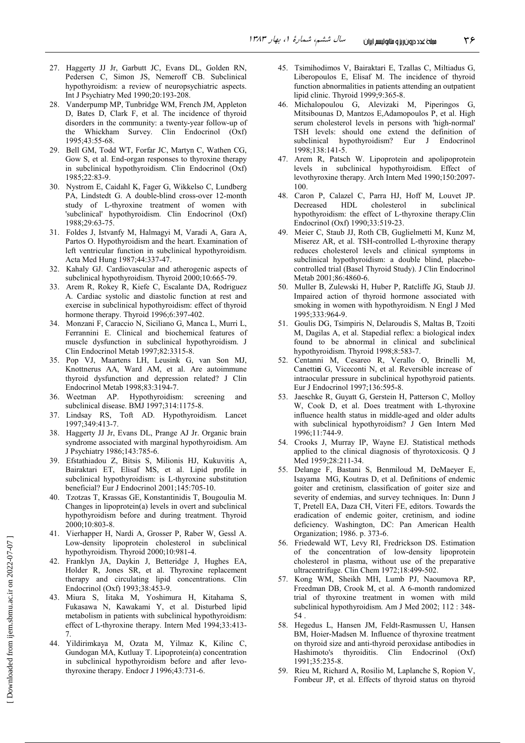- 27. Haggerty JJ Jr, Garbutt JC, Evans DL, Golden RN, Pedersen C, Simon JS, Nemeroff CB. Subclinical hypothyroidism: a review of neuropsychiatric aspects. Int J Psychiatry Med 1990;20:193-208.
- 28. Vanderpump MP, Tunbridge WM, French JM, Appleton D, Bates D, Clark F, et al. The incidence of thyroid disorders in the community: a twenty-year follow-up of the Whickham Survey. Clin Endocrinol (Oxf) 1995;43:55-68.
- 29. Bell GM, Todd WT, Forfar JC, Martyn C, Wathen CG, Gow S, et al. End-organ responses to thyroxine therapy in subclinical hypothyroidism. Clin Endocrinol (Oxf) 1985;22:83-9.
- 30. Nystrom E, Caidahl K, Fager G, Wikkelso C, Lundberg PA, Lindstedt G. A double-blind cross-over 12-month study of L-thyroxine treatment of women with 'subclinical' hypothyroidism. Clin Endocrinol (Oxf) 1988;29:63-75.
- 31. Foldes J, Istvanfy M, Halmagyi M, Varadi A, Gara A, Partos O. Hypothyroidism and the heart. Examination of left ventricular function in subclinical hypothyroidism. Acta Med Hung 1987;44:337-47.
- 32. Kahaly GJ. Cardiovascular and atherogenic aspects of subclinical hypothyroidism. Thyroid 2000;10:665-79.
- 33. Arem R, Rokey R, Kiefe C, Escalante DA, Rodriguez A. Cardiac systolic and diastolic function at rest and exercise in subclinical hypothyroidism: effect of thyroid hormone therapy. Thyroid 1996;6:397-402.
- 34. Monzani F, Caraccio N, Siciliano G, Manca L, Murri L, Ferrannini E. Clinical and biochemical features of muscle dysfunction in subclinical hypothyroidism. J Clin Endocrinol Metab 1997;82:3315-8.
- 35. Pop VJ, Maartens LH, Leusink G, van Son MJ, Knottnerus AA, Ward AM, et al. Are autoimmune thyroid dysfunction and depression related? J Clin Endocrinol Metab 1998;83:3194-7.
- AP. Hypothyroidism: 36. Weetman screening and subclinical disease. BMJ 1997;314:1175-8.
- 37. Lindsay RS, Toft AD. Hypothyroidism. Lancet 1997;349:413-7.
- 38. Haggerty JJ Jr, Evans DL, Prange AJ Jr. Organic brain syndrome associated with marginal hypothyroidism. Am J Psychiatry 1986;143:785-6.
- 39. Efstathiadou Z, Bitsis S, Milionis HJ, Kukuvitis A, Bairaktari ET, Elisaf MS, et al. Lipid profile in subclinical hypothyroidism: is L-thyroxine substitution beneficial? Eur J Endocrinol 2001;145:705-10.
- 40. Tzotzas T, Krassas GE, Konstantinidis T, Bougoulia M. Changes in lipoprotein(a) levels in overt and subclinical hypothyroidism before and during treatment. Thyroid 2000:10:803-8.
- 41. Vierhapper H, Nardi A, Grosser P, Raber W, Gessl A. Low-density lipoprotein cholesterol in subclinical hypothyroidism. Thyroid 2000;10:981-4.
- 42. Franklyn JA, Daykin J, Betteridge J, Hughes EA, Holder R, Jones SR, et al. Thyroxine replacement therapy and circulating lipid concentrations. Clin Endocrinol (Oxf) 1993;38:453-9.
- 43. Miura S, Iitaka M, Yoshimura H, Kitahama S, Fukasawa N, Kawakami Y, et al. Disturbed lipid metabolism in patients with subclinical hypothyroidism: effect of L-thyroxine therapy. Intern Med 1994;33:413-
- 44. Yildirimkaya M. Ozata M. Yilmaz K. Kilinc C. Gundogan MA, Kutluay T. Lipoprotein(a) concentration in subclinical hypothyroidism before and after levothyroxine therapy. Endocr J 1996;43:731-6.
- 45. Tsimihodimos V, Bairaktari E, Tzallas C, Miltiadus G, Liberopoulos E, Elisaf M. The incidence of thyroid function abnormalities in patients attending an outpatient lipid clinic. Thyroid 1999;9:365-8.
- 46. Michalopoulou G, Alevizaki M, Piperingos G, Mitsibounas D, Mantzos E, Adamopoulos P, et al. High serum cholesterol levels in persons with 'high-normal' TSH levels: should one extend the definition of subclinical hypothyroidism? Eur J Endocrinol 1998;138:141-5.
- 47. Arem R, Patsch W. Lipoprotein and apolipoprotein levels in subclinical hypothyroidism. Effect of levothyroxine therapy. Arch Intern Med 1990;150:2097-100
- 48. Caron P, Calazel C, Parra HJ, Hoff M, Louvet JP. Decreased HDL cholesterol in subclinical hypothyroidism: the effect of L-thyroxine therapy.Clin Endocrinol (Oxf) 1990;33:519-23.
- 49. Meier C, Staub JJ, Roth CB, Guglielmetti M, Kunz M, Miserez AR, et al. TSH-controlled L-thyroxine therapy reduces cholesterol levels and clinical symptoms in subclinical hypothyroidism: a double blind, placebocontrolled trial (Basel Thyroid Study). J Clin Endocrinol Metab 2001;86:4860-6.
- 50 Muller B, Zulewski H, Huber P, Ratcliffe JG, Staub JJ. Impaired action of thyroid hormone associated with smoking in women with hypothyroidism. N Engl J Med 1995;333:964-9.
- 51. Goulis DG, Tsimpiris N, Delaroudis S, Maltas B, Tzoiti M, Dagilas A, et al. Stapedial reflex: a biological index found to be abnormal in clinical and subclinical hypothyroidism. Thyroid 1998;8:583-7.
- 52. Centanni M, Cesareo R, Verallo O, Brinelli M, Canettiei G, Viceconti N, et al. Reversible increase of intraocular pressure in subclinical hypothyroid patients. Eur J Endocrinol 1997;136:595-8.
- Jaeschke R, Guyatt G, Gerstein H, Patterson C, Molloy 53. W, Cook D, et al. Does treatment with L-thyroxine influence health status in middle-aged and older adults with subclinical hypothyroidism? J Gen Intern Med 1996;11:744-9.
- 54. Crooks J, Murray IP, Wayne EJ. Statistical methods applied to the clinical diagnosis of thyrotoxicosis. Q J Med 1959;28:211-34.
- 55. Delange F, Bastani S, Benmiloud M, DeMaeyer E, Isayama MG, Koutras D, et al. Definitions of endemic goiter and cretinism, classification of goiter size and severity of endemias, and survey techniques. In: Dunn J T, Pretell EA, Daza CH, Viteri FE, editors. Towards the eradication of endemic goiter, cretinism, and iodine deficiency. Washington, DC: Pan American Health Organization; 1986. p. 373-6.
- 56. Friedewald WT, Levy RI, Fredrickson DS. Estimation of the concentration of low-density lipoprotein cholesterol in plasma, without use of the preparative ultracentrifuge. Clin Chem 1972;18:499-502.
- 57. Kong WM, Sheikh MH, Lumb PJ, Naoumova RP. Freedman DB, Crook M, et al. A 6-month randomized trial of thyroxine treatment in women with mild subclinical hypothyroidism. Am J Med 2002; 112 : 348-54.
- 58. Hegedus L, Hansen JM, Feldt-Rasmussen U, Hansen BM. Hoier-Madsen M. Influence of thyroxine treatment on thyroid size and anti-thyroid peroxidase antibodies in Hashimoto's thyroiditis. Clin Endocrinol (Oxf) 1991:35:235-8.
- 59. Rieu M, Richard A, Rosilio M, Laplanche S, Ropion V, Fombeur JP, et al. Effects of thyroid status on thyroid